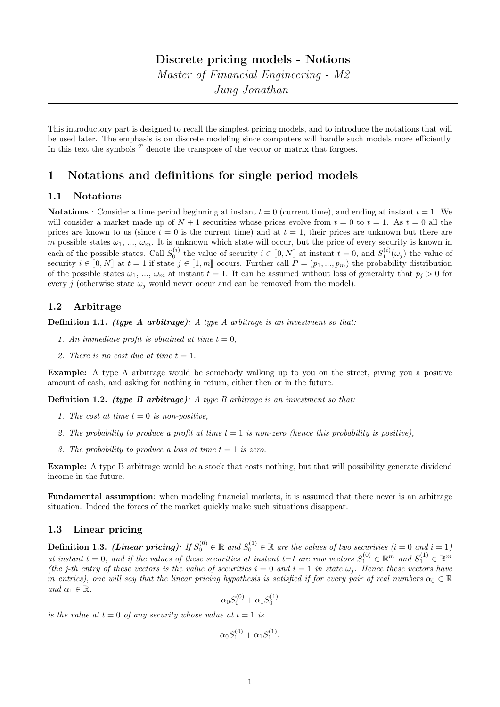# Discrete pricing models - Notions Master of Financial Engineering - M2 Jung Jonathan

This introductory part is designed to recall the simplest pricing models, and to introduce the notations that will be used later. The emphasis is on discrete modeling since computers will handle such models more efficiently. In this text the symbols  $^T$  denote the transpose of the vector or matrix that forgoes.

# 1 Notations and definitions for single period models

## 1.1 Notations

**Notations** : Consider a time period beginning at instant  $t = 0$  (current time), and ending at instant  $t = 1$ . We will consider a market made up of  $N + 1$  securities whose prices evolve from  $t = 0$  to  $t = 1$ . As  $t = 0$  all the prices are known to us (since  $t = 0$  is the current time) and at  $t = 1$ , their prices are unknown but there are m possible states  $\omega_1, \ldots, \omega_m$ . It is unknown which state will occur, but the price of every security is known in each of the possible states. Call  $S_0^{(i)}$  the value of security  $i \in [0, N]$  at instant  $t = 0$ , and  $S_1^{(i)}(\omega_j)$  the value of security  $i \in [0, N]$  at  $t = 1$  if atoto  $i \in [1, m]$  secures. Eurthor call  $P = (n, n)$  the probabil security  $i \in [0, N]$  at  $t = 1$  if state  $j \in [1, m]$  occurs. Further call  $P = (p_1, ..., p_m)$  the probability distribution<br>of the possible states (i.e., i.e. instant  $t = 1$ , It can be assumed without loss of generality that  $p > 0$ of the possible states  $\omega_1$ , ...,  $\omega_m$  at instant  $t = 1$ . It can be assumed without loss of generality that  $p_j > 0$  for every j (otherwise state  $\omega_i$  would never occur and can be removed from the model).

# 1.2 Arbitrage

**Definition 1.1.** (type A arbitrage): A type A arbitrage is an investment so that:

- 1. An immediate profit is obtained at time  $t = 0$ .
- 2. There is no cost due at time  $t = 1$ .

Example: A type A arbitrage would be somebody walking up to you on the street, giving you a positive amount of cash, and asking for nothing in return, either then or in the future.

**Definition 1.2.** (type B arbitrage): A type B arbitrage is an investment so that:

- 1. The cost at time  $t = 0$  is non-positive,
- 2. The probability to produce a profit at time  $t = 1$  is non-zero (hence this probability is positive),
- 3. The probability to produce a loss at time  $t = 1$  is zero.

Example: A type B arbitrage would be a stock that costs nothing, but that will possibility generate dividend income in the future.

Fundamental assumption: when modeling financial markets, it is assumed that there never is an arbitrage situation. Indeed the forces of the market quickly make such situations disappear.

# 1.3 Linear pricing

**Definition 1.3.** (Linear pricing): If  $S_0^{(0)} \in \mathbb{R}$  and  $S_0^{(1)} \in \mathbb{R}$  are the values of two securities (i = 0 and i = 1) at instant  $t = 0$ , and if the values of these securities at instant  $t = 1$  are row vectors  $S_1^{(0)} \in \mathbb{R}^m$  and  $S_1^{(1)} \in \mathbb{R}^m$ (the j-th entry of these vectors is the value of securities  $i = 0$  and  $i = 1$  in state  $\omega_j$ . Hence these vectors have m entries), one will say that the linear pricing hypothesis is satisfied if for every pair of real numbers  $\alpha_0 \in \mathbb{R}$ and  $\alpha_1 \in \mathbb{R}$ ,

$$
\alpha_0 S_0^{(0)} + \alpha_1 S_0^{(1)}
$$

is the value at  $t = 0$  of any security whose value at  $t = 1$  is

$$
\alpha_0 S_1^{(0)} + \alpha_1 S_1^{(1)}.
$$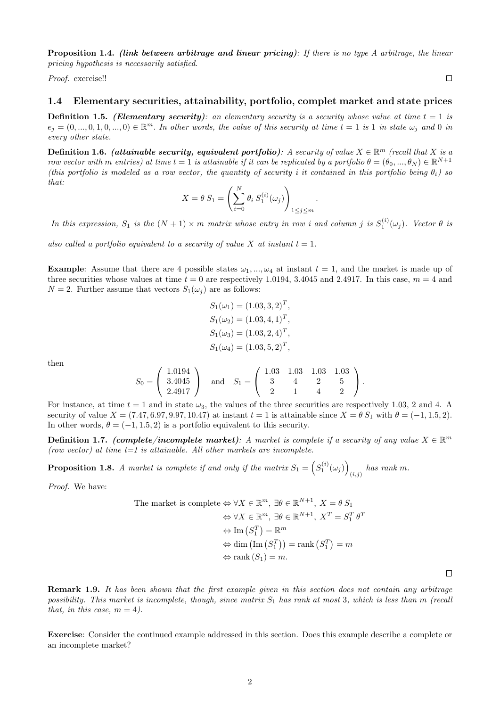Proposition 1.4. *(link between arbitrage and linear pricing)*: If there is no type A arbitrage, the linear pricing hypothesis is necessarily satisfied.

Proof. exercise!!

 $\Box$ 

 $\Box$ 

### 1.4 Elementary securities, attainability, portfolio, complet market and state prices

**Definition 1.5.** (Elementary security): an elementary security is a security whose value at time  $t = 1$  is  $e_j = (0, ..., 0, 1, 0, ..., 0) \in \mathbb{R}^m$ . In other words, the value of this security at time  $t = 1$  is 1 in state  $\omega_j$  and 0 in every other state.

**Definition 1.6.** (attainable security, equivalent portfolio): A security of value  $X \in \mathbb{R}^m$  (recall that X is a row vector with m entries) at time  $t=1$  is attainable if it can be replicated by a portfolio  $\theta=(\theta_0,...,\theta_N)\in\mathbb{R}^{N+1}$ (this portfolio is modeled as a row vector, the quantity of security i it contained in this portfolio being  $\theta_i$ ) so that:

$$
X = \theta S_1 = \left(\sum_{i=0}^{N} \theta_i S_1^{(i)}(\omega_j)\right)_{1 \le j \le m}
$$

.

In this expression,  $S_1$  is the  $(N + 1) \times m$  matrix whose entry in row i and column j is  $S_1^{(i)}(\omega_j)$ . Vector  $\theta$  is

also called a portfolio equivalent to a security of value X at instant  $t = 1$ .

**Example:** Assume that there are 4 possible states  $\omega_1, ..., \omega_4$  at instant  $t = 1$ , and the market is made up of three securities whose values at time  $t = 0$  are respectively 1.0194, 3.4045 and 2.4917. In this case,  $m = 4$  and  $N = 2$ . Further assume that vectors  $S_1(\omega_i)$  are as follows:

$$
S_1(\omega_1) = (1.03, 3, 2)^T,
$$
  
\n
$$
S_1(\omega_2) = (1.03, 4, 1)^T,
$$
  
\n
$$
S_1(\omega_3) = (1.03, 2, 4)^T,
$$
  
\n
$$
S_1(\omega_4) = (1.03, 5, 2)^T,
$$

then

$$
S_0 = \left(\begin{array}{c} 1.0194 \\ 3.4045 \\ 2.4917 \end{array}\right) \quad \text{and} \quad S_1 = \left(\begin{array}{ccc} 1.03 & 1.03 & 1.03 & 1.03 \\ 3 & 4 & 2 & 5 \\ 2 & 1 & 4 & 2 \end{array}\right).
$$

For instance, at time  $t = 1$  and in state  $\omega_3$ , the values of the three securities are respectively 1.03, 2 and 4. A security of value  $X = (7.47, 6.97, 9.97, 10.47)$  at instant  $t = 1$  is attainable since  $X = \theta S_1$  with  $\theta = (-1, 1.5, 2)$ . In other words,  $\theta = (-1, 1.5, 2)$  is a portfolio equivalent to this security.

**Definition 1.7.** (complete/incomplete market): A market is complete if a security of any value  $X \in \mathbb{R}^m$ (row vector) at time  $t=1$  is attainable. All other markets are incomplete.

**Proposition 1.8.** A market is complete if and only if the matrix  $S_1 = \left( S_1^{(i)}(\omega_j) \right)$  $_{(i,j)}$  has rank m.

Proof. We have:

The market is complete 
$$
\Leftrightarrow \forall X \in \mathbb{R}^m
$$
,  $\exists \theta \in \mathbb{R}^{N+1}$ ,  $X = \theta S_1$   
 $\Leftrightarrow \forall X \in \mathbb{R}^m$ ,  $\exists \theta \in \mathbb{R}^{N+1}$ ,  $X^T = S_1^T \theta^T$   
 $\Leftrightarrow \text{Im}(S_1^T) = \mathbb{R}^m$   
 $\Leftrightarrow \text{dim}(\text{Im}(S_1^T)) = \text{rank}(S_1^T) = m$   
 $\Leftrightarrow \text{rank}(S_1) = m$ .

Remark 1.9. It has been shown that the first example given in this section does not contain any arbitrage possibility. This market is incomplete, though, since matrix  $S_1$  has rank at most 3, which is less than m (recall that, in this case,  $m = 4$ ).

Exercise: Consider the continued example addressed in this section. Does this example describe a complete or an incomplete market?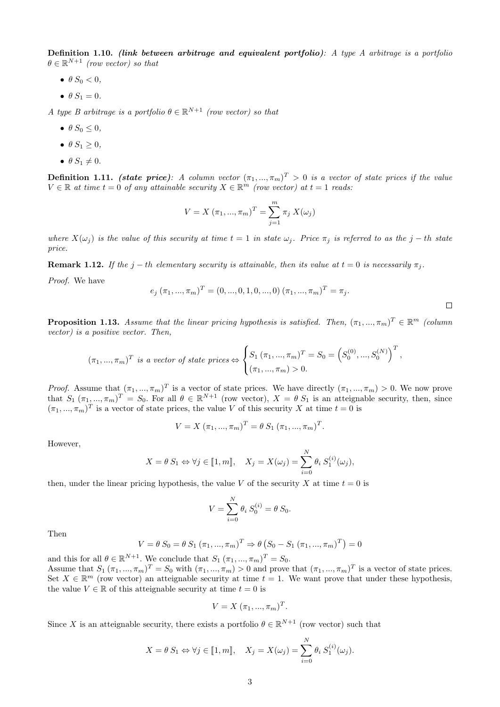Definition 1.10. (link between arbitrage and equivalent portfolio): A type A arbitrage is a portfolio  $\theta \in \mathbb{R}^{N+1}$  (row vector) so that

- $\bullet$   $\theta S_0 < 0$ ,
- $\bullet$   $\theta S_1 = 0.$

A type B arbitrage is a portfolio  $\theta \in \mathbb{R}^{N+1}$  (row vector) so that

- $\bullet$   $\theta S_0 \leq 0$ ,
- $\theta S_1 \geq 0$ ,
- $\bullet$   $\theta S_1 \neq 0.$

**Definition 1.11.** (state price): A column vector  $(\pi_1, ..., \pi_m)^T > 0$  is a vector of state prices if the value  $V \in \mathbb{R}$  at time  $t = 0$  of any attainable security  $X \in \mathbb{R}^m$  (row vector) at  $t = 1$  reads:

$$
V = X (\pi_1, ..., \pi_m)^T = \sum_{j=1}^m \pi_j X(\omega_j)
$$

where  $X(\omega_j)$  is the value of this security at time  $t = 1$  in state  $\omega_j$ . Price  $\pi_j$  is referred to as the j – th state price.

**Remark 1.12.** If the j – th elementary security is attainable, then its value at  $t = 0$  is necessarily  $\pi_i$ .

Proof. We have

$$
e_j(\pi_1, ..., \pi_m)^T = (0, ..., 0, 1, 0, ..., 0) (\pi_1, ..., \pi_m)^T = \pi_j.
$$

 $\Box$ 

**Proposition 1.13.** Assume that the linear pricing hypothesis is satisfied. Then,  $(\pi_1, ..., \pi_m)^T \in \mathbb{R}^m$  (column vector) is a positive vector. Then,

$$
(\pi_1, ..., \pi_m)^T
$$
 is a vector of state prices  $\Leftrightarrow$  
$$
\begin{cases} S_1 (\pi_1, ..., \pi_m)^T = S_0 = (S_0^{(0)}, ..., S_0^{(N)})^T, \\ (\pi_1, ..., \pi_m) > 0. \end{cases}
$$

*Proof.* Assume that  $(\pi_1, ..., \pi_m)^T$  is a vector of state prices. We have directly  $(\pi_1, ..., \pi_m) > 0$ . We now prove that  $S_1$   $(\pi_1, ..., \pi_m)^T = S_0$ . For all  $\theta \in \mathbb{R}^{N+1}$  (row vector),  $X = \theta S_1$  is an atteignable security, then, since  $(\pi_1, ..., \pi_m)^T$  is a vector of state prices, the value V of this security X at time  $t = 0$  is

$$
V = X (\pi_1, ..., \pi_m)^T = \theta S_1 (\pi_1, ..., \pi_m)^T.
$$

However,

$$
X = \theta S_1 \Leftrightarrow \forall j \in [\![1,m]\!], \quad X_j = X(\omega_j) = \sum_{i=0}^N \theta_i S_1^{(i)}(\omega_j),
$$

then, under the linear pricing hypothesis, the value V of the security X at time  $t = 0$  is

$$
V = \sum_{i=0}^{N} \theta_i S_0^{(i)} = \theta S_0.
$$

Then

$$
V = \theta S_0 = \theta S_1 (\pi_1, ..., \pi_m)^T \Rightarrow \theta (S_0 - S_1 (\pi_1, ..., \pi_m)^T) = 0
$$

and this for all  $\theta \in \mathbb{R}^{N+1}$ . We conclude that  $S_1$   $(\pi_1, ..., \pi_m)^T = S_0$ . Assume that  $S_1(\pi_1, ..., \pi_m)^T = S_0$  with  $(\pi_1, ..., \pi_m) > 0$  and prove that  $(\pi_1, ..., \pi_m)^T$  is a vector of state prices. Set  $X \in \mathbb{R}^m$  (row vector) an atteignable security at time  $t = 1$ . We want prove that under these hypothesis, the value  $V \in \mathbb{R}$  of this atteignable security at time  $t = 0$  is

$$
V = X(\pi_1, ..., \pi_m)^T.
$$

Since X is an atteignable security, there exists a portfolio  $\theta \in \mathbb{R}^{N+1}$  (row vector) such that

$$
X = \theta S_1 \Leftrightarrow \forall j \in [1, m], \quad X_j = X(\omega_j) = \sum_{i=0}^N \theta_i S_1^{(i)}(\omega_j).
$$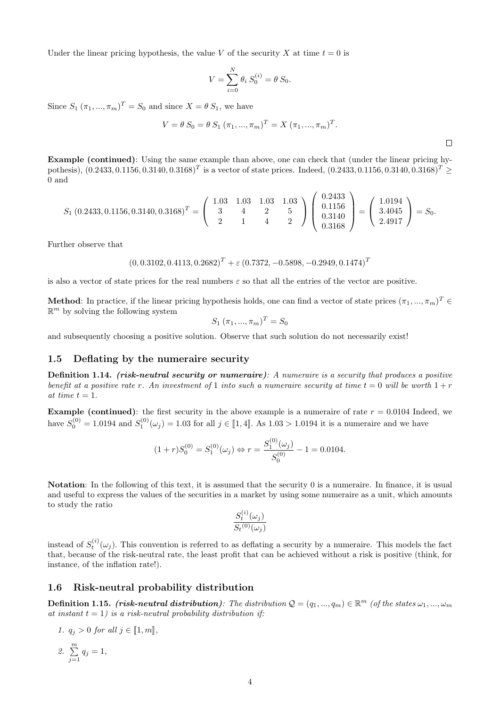Under the linear pricing hypothesis, the value V of the security X at time  $t = 0$  is

$$
V = \sum_{i=0}^{N} \theta_i S_0^{(i)} = \theta S_0.
$$

Since  $S_1$   $(\pi_1, ..., \pi_m)^T = S_0$  and since  $X = \theta S_1$ , we have

$$
V = \theta S_0 = \theta S_1 (\pi_1, ..., \pi_m)^T = X (\pi_1, ..., \pi_m)^T.
$$

 $\Box$ 

Example (continued): Using the same example than above, one can check that (under the linear pricing hypothesis),  $(0.2433, 0.1156, 0.3140, 0.3168)^T$  is a vector of state prices. Indeed,  $(0.2433, 0.1156, 0.3140, 0.3168)^T \geq$ 0 and

$$
S_1(0.2433, 0.1156, 0.3140, 0.3168)^T = \begin{pmatrix} 1.03 & 1.03 & 1.03 & 1.03 \\ 3 & 4 & 2 & 5 \\ 2 & 1 & 4 & 2 \end{pmatrix} \begin{pmatrix} 0.2433 \\ 0.1156 \\ 0.3140 \\ 0.3168 \end{pmatrix} = \begin{pmatrix} 1.0194 \\ 3.4045 \\ 2.4917 \end{pmatrix} = S_0.
$$

Further observe that

$$
(0, 0.3102, 0.4113, 0.2682)^T + \varepsilon (0.7372, -0.5898, -0.2949, 0.1474)^T
$$

is also a vector of state prices for the real numbers  $\varepsilon$  so that all the entries of the vector are positive.

Method: In practice, if the linear pricing hypothesis holds, one can find a vector of state prices  $(\pi_1, ..., \pi_m)^T \in$  $\mathbb{R}^m$  by solving the following system

$$
S_1(\pi_1, ..., \pi_m)^T = S_0
$$

and subsequently choosing a positive solution. Observe that such solution do not necessarily exist!

#### 1.5 Deflating by the numeraire security

Definition 1.14. (risk-neutral security or numeraire): A numeraire is a security that produces a positive benefit at a positive rate r. An investment of 1 into such a numeraire security at time  $t = 0$  will be worth  $1 + r$ at time  $t = 1$ .

**Example (continued)**: the first security in the above example is a numeraire of rate  $r = 0.0104$  Indeed, we have  $S_0^{(0)} = 1.0194$  and  $S_1^{(0)}(\omega_j) = 1.03$  for all  $j \in [\![1, 4]\!]$ . As  $1.03 > 1.0194$  it is a numeraire and we have

$$
(1+r)S_0^{(0)} = S_1^{(0)}(\omega_j) \Leftrightarrow r = \frac{S_1^{(0)}(\omega_j)}{S_0^{(0)}} - 1 = 0.0104.
$$

Notation: In the following of this text, it is assumed that the security 0 is a numeraire. In finance, it is usual and useful to express the values of the securities in a market by using some numeraire as a unit, which amounts to study the ratio

$$
\frac{S_t^{(i)}(\omega_j)}{S_t^{(0)}(\omega_j)}
$$

instead of  $S_t^{(i)}(\omega_j)$ . This convention is referred to as deflating a security by a numeraire. This models the fact that, because of the risk-neutral rate, the least profit that can be achieved without a risk is positive (think, for instance, of the inflation rate!).

### 1.6 Risk-neutral probability distribution

**Definition 1.15.** (risk-neutral distribution): The distribution  $\mathcal{Q} = (q_1, ..., q_m) \in \mathbb{R}^m$  (of the states  $\omega_1, ..., \omega_m$ ) at instant  $t = 1$ ) is a risk-neutral probability distribution if:

1. 
$$
q_j > 0
$$
 for all  $j \in [1, m]$ ,  
2.  $\sum_{j=1}^{m} q_j = 1$ ,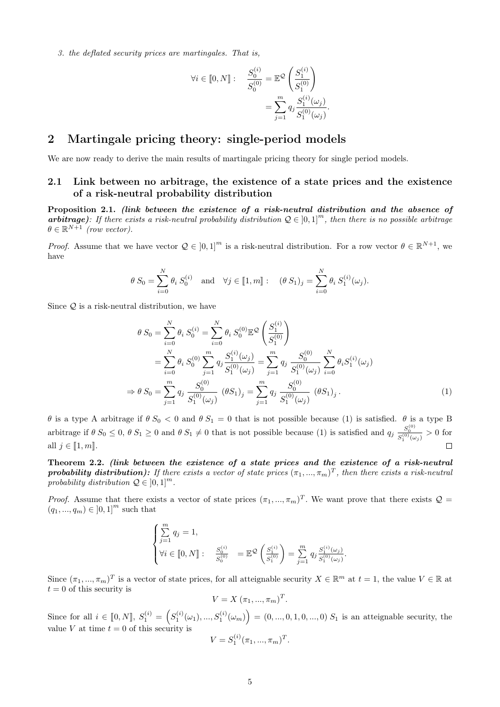3. the deflated security prices are martingales. That is,

$$
\forall i \in [0, N] : \frac{S_0^{(i)}}{S_0^{(0)}} = \mathbb{E}^{\mathcal{Q}} \left( \frac{S_1^{(i)}}{S_1^{(0)}} \right)
$$
  
= 
$$
\sum_{j=1}^m q_j \frac{S_1^{(i)}(\omega_j)}{S_1^{(0)}(\omega_j)}.
$$

# 2 Martingale pricing theory: single-period models

We are now ready to derive the main results of martingale pricing theory for single period models.

# 2.1 Link between no arbitrage, the existence of a state prices and the existence of a risk-neutral probability distribution

Proposition 2.1. (link between the existence of a risk-neutral distribution and the absence of **arbitrage**): If there exists a risk-neutral probability distribution  $Q \in [0,1]^m$ , then there is no possible arbitrage  $\theta \in \mathbb{R}^{N+1}$  (row vector).

*Proof.* Assume that we have vector  $Q \in [0,1]^m$  is a risk-neutral distribution. For a row vector  $\theta \in \mathbb{R}^{N+1}$ , we have

$$
\theta S_0 = \sum_{i=0}^N \theta_i S_0^{(i)}
$$
 and  $\forall j \in [1, m] : (\theta S_1)_j = \sum_{i=0}^N \theta_i S_1^{(i)}(\omega_j).$ 

Since  $Q$  is a risk-neutral distribution, we have

$$
\theta S_0 = \sum_{i=0}^N \theta_i S_0^{(i)} = \sum_{i=0}^N \theta_i S_0^{(0)} \mathbb{E}^{\mathcal{Q}} \left( \frac{S_1^{(i)}}{S_1^{(0)}} \right)
$$
  
\n
$$
= \sum_{i=0}^N \theta_i S_0^{(0)} \sum_{j=1}^m q_j \frac{S_1^{(i)}(\omega_j)}{S_1^{(0)}(\omega_j)} = \sum_{j=1}^m q_j \frac{S_0^{(0)}}{S_1^{(0)}(\omega_j)} \sum_{i=0}^N \theta_i S_1^{(i)}(\omega_j)
$$
  
\n
$$
\Rightarrow \theta S_0 = \sum_{j=1}^m q_j \frac{S_0^{(0)}}{S_1^{(0)}(\omega_j)} (\theta S_1)_j = \sum_{j=1}^m q_j \frac{S_0^{(0)}}{S_1^{(0)}(\omega_j)} (\theta S_1)_j.
$$
 (1)

θ is a type A arbitrage if  $θ S<sub>0</sub> < 0$  and  $θ S<sub>1</sub> = 0$  that is not possible because (1) is satisfied.  $θ$  is a type B arbitrage if  $\theta S_0 \leq 0$ ,  $\theta S_1 \geq 0$  and  $\theta S_1 \neq 0$  that is not possible because (1) is satisfied and  $q_j \frac{S_0^{(0)}}{S_1^{(0)}(\omega_j)} > 0$  for all  $j \in \llbracket 1, m \rrbracket$ .  $\Box$ 

Theorem 2.2. (link between the existence of a state prices and the existence of a risk-neutral **probability distribution):** If there exists a vector of state prices  $(\pi_1, ..., \pi_m)^T$ , then there exists a risk-neutral probability distribution  $\mathcal{Q} \in [0,1]^m$ .

*Proof.* Assume that there exists a vector of state prices  $(\pi_1, ..., \pi_m)^T$ . We want prove that there exists  $\mathcal{Q} =$  $(q_1, ..., q_m) \in [0, 1]^m$  such that

$$
\begin{cases} \sum_{j=1}^{m} q_j = 1, \\ \forall i \in [0, N] : & \frac{S_0^{(i)}}{S_0^{(0)}} = \mathbb{E}^{\mathcal{Q}} \left( \frac{S_1^{(i)}}{S_1^{(0)}} \right) = \sum_{j=1}^{m} q_j \frac{S_1^{(i)}(\omega_j)}{S_1^{(0)}(\omega_j)}. \end{cases}
$$

Since  $(\pi_1, ..., \pi_m)^T$  is a vector of state prices, for all atteignable security  $X \in \mathbb{R}^m$  at  $t = 1$ , the value  $V \in \mathbb{R}$  at  $t = 0$  of this security is

$$
V = X (\pi_1, ..., \pi_m)^T.
$$

Since for all  $i \in [0, N], S_1^{(i)} = (S_1^{(i)}(\omega_1), ..., S_1^{(i)}(\omega_m)) = (0, ..., 0, 1, 0, ..., 0) S_1$  is an atteignable security, the value V at time  $t = 0$  of this security is

$$
V = S_1^{(i)}(\pi_1, ..., \pi_m)^T.
$$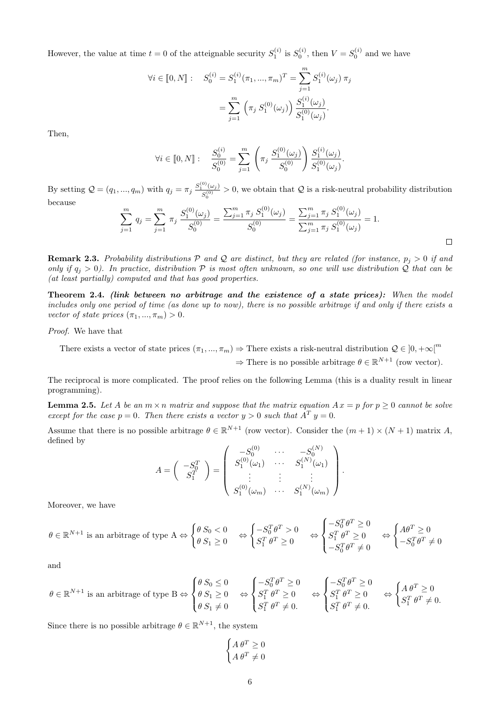However, the value at time  $t = 0$  of the atteignable security  $S_1^{(i)}$  is  $S_0^{(i)}$ , then  $V = S_0^{(i)}$  and we have

$$
\forall i \in [0, N]: \quad S_0^{(i)} = S_1^{(i)}(\pi_1, ..., \pi_m)^T = \sum_{j=1}^m S_1^{(i)}(\omega_j) \pi_j
$$

$$
= \sum_{j=1}^m \left( \pi_j S_1^{(0)}(\omega_j) \right) \frac{S_1^{(i)}(\omega_j)}{S_1^{(0)}(\omega_j)}.
$$

Then,

$$
\forall i \in [0, N]: \quad \frac{S_0^{(i)}}{S_0^{(0)}} = \sum_{j=1}^m \left( \pi_j \frac{S_1^{(0)}(\omega_j)}{S_0^{(0)}} \right) \frac{S_1^{(i)}(\omega_j)}{S_1^{(0)}(\omega_j)}.
$$

By setting  $Q = (q_1, ..., q_m)$  with  $q_j = \pi_j \frac{S_1^{(0)}(\omega_j)}{S_1^{(0)}}$  $\frac{\Gamma(\omega_j)}{S_0^{(0)}} > 0$ , we obtain that Q is a risk-neutral probability distribution because

$$
\sum_{j=1}^{m} q_j = \sum_{j=1}^{m} \pi_j \frac{S_1^{(0)}(\omega_j)}{S_0^{(0)}} = \frac{\sum_{j=1}^{m} \pi_j S_1^{(0)}(\omega_j)}{S_0^{(0)}} = \frac{\sum_{j=1}^{m} \pi_j S_1^{(0)}(\omega_j)}{\sum_{j=1}^{m} \pi_j S_1^{(0)}(\omega_j)} = 1.
$$

**Remark 2.3.** Probability distributions P and Q are distinct, but they are related (for instance,  $p_i > 0$  if and only if  $q_i > 0$ ). In practice, distribution  $P$  is most often unknown, so one will use distribution Q that can be (at least partially) computed and that has good properties.

Theorem 2.4. (link between no arbitrage and the existence of a state prices): When the model includes only one period of time (as done up to now), there is no possible arbitrage if and only if there exists a vector of state prices  $(\pi_1, ..., \pi_m) > 0$ .

Proof. We have that

There exists a vector of state prices  $(\pi_1, ..., \pi_m) \to$  There exists a risk-neutral distribution  $\mathcal{Q} \in ]0, +\infty[^m]$  $\Rightarrow$  There is no possible arbitrage  $\theta \in \mathbb{R}^{N+1}$  (row vector).

The reciprocal is more complicated. The proof relies on the following Lemma (this is a duality result in linear programming).

**Lemma 2.5.** Let A be an  $m \times n$  matrix and suppose that the matrix equation  $Ax = p$  for  $p \ge 0$  cannot be solve except for the case  $p = 0$ . Then there exists a vector  $y > 0$  such that  $A<sup>T</sup> y = 0$ .

Assume that there is no possible arbitrage  $\theta \in \mathbb{R}^{N+1}$  (row vector). Consider the  $(m+1) \times (N+1)$  matrix A, defined by  $\sim$  $\langle N \rangle$ 

$$
A = \begin{pmatrix} -S_0^T \\ S_1^T \end{pmatrix} = \begin{pmatrix} -S_0^{(0)} & \cdots & -S_0^{(N)} \\ S_1^{(0)}(\omega_1) & \cdots & S_1^{(N)}(\omega_1) \\ \vdots & \vdots & \vdots \\ S_1^{(0)}(\omega_m) & \cdots & S_1^{(N)}(\omega_m) \end{pmatrix}
$$

.

 $\Box$ 

Moreover, we have

$$
\theta \in \mathbb{R}^{N+1} \text{ is an arbitrage of type A} \Leftrightarrow \begin{cases} \theta S_0 < 0 \\ \theta S_1 \ge 0 \end{cases} \Leftrightarrow \begin{cases} -S_0^T \theta^T > 0 \\ S_1^T \theta^T \ge 0 \end{cases} \Leftrightarrow \begin{cases} -S_0^T \theta^T \ge 0 \\ S_1^T \theta^T \ge 0 \\ -S_0^T \theta^T \ne 0 \end{cases} \Leftrightarrow \begin{cases} A\theta^T \ge 0 \\ -S_0^T \theta^T \ne 0 \end{cases}
$$

and

$$
\theta \in \mathbb{R}^{N+1} \text{ is an arbitrage of type B} \Leftrightarrow \begin{cases} \theta S_0 \le 0 \\ \theta S_1 \ge 0 \\ \theta S_1 \ne 0 \end{cases} \Leftrightarrow \begin{cases} -S_0^T \theta^T \ge 0 \\ S_1^T \theta^T \ge 0 \\ S_1^T \theta^T \ne 0 \end{cases} \Leftrightarrow \begin{cases} -S_0^T \theta^T \ge 0 \\ S_1^T \theta^T \ge 0 \\ S_1^T \theta^T \ne 0 \end{cases} \Leftrightarrow \begin{cases} A \theta^T \ge 0 \\ S_1^T \theta^T \ne 0 \end{cases}
$$

Since there is no possible arbitrage  $\theta \in \mathbb{R}^{N+1}$ , the system

$$
\begin{cases} A \theta^T \ge 0 \\ A \theta^T \ne 0 \end{cases}
$$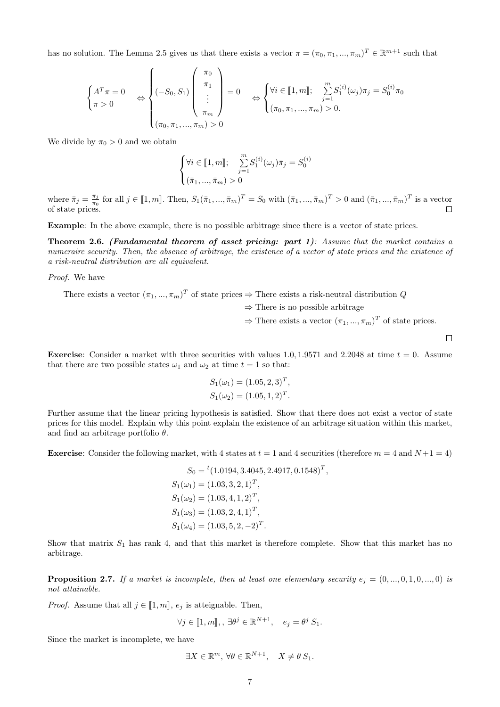has no solution. The Lemma 2.5 gives us that there exists a vector  $\pi = (\pi_0, \pi_1, ..., \pi_m)^T \in \mathbb{R}^{m+1}$  such that

$$
\begin{cases}\nA^T \pi = 0 \\
\pi > 0\n\end{cases}\n\Leftrightarrow\n\begin{cases}\n\pi_0 \\
\pi_1 \\
\vdots \\
\pi_m\n\end{cases}\n= 0\n\Rightarrow\n\begin{cases}\n\forall i \in [1, m]; \quad \sum_{j=1}^m S_1^{(i)}(\omega_j) \pi_j = S_0^{(i)} \pi_0 \\
(\pi_0, \pi_1, ..., \pi_m) > 0.\n\end{cases}
$$

We divide by  $\pi_0 > 0$  and we obtain

$$
\begin{cases} \forall i \in [\![ 1, m]\!]; & \sum_{j=1}^{m} S_1^{(i)}(\omega_j) \bar{\pi}_j = S_0^{(i)} \\ (\bar{\pi}_1, ..., \bar{\pi}_m) > 0 \end{cases}
$$

where  $\bar{\pi}_j = \frac{\pi_j}{\pi_0}$  $\frac{\pi_j}{\pi_0}$  for all  $j \in [\![1,m]\!]$ . Then,  $S_1(\bar{\pi}_1, ..., \bar{\pi}_m)^T = S_0$  with  $(\bar{\pi}_1, ..., \bar{\pi}_m)^T > 0$  and  $(\bar{\pi}_1, ..., \bar{\pi}_m)^T$  is a vector of state prices.  $\Box$ 

Example: In the above example, there is no possible arbitrage since there is a vector of state prices.

**Theorem 2.6.** (Fundamental theorem of asset pricing: part  $1$ ): Assume that the market contains a numeraire security. Then, the absence of arbitrage, the existence of a vector of state prices and the existence of a risk-neutral distribution are all equivalent.

#### Proof. We have

There exists a vector  $(\pi_1, ..., \pi_m)^T$  of state prices  $\Rightarrow$  There exists a risk-neutral distribution Q  $\Rightarrow$  There is no possible arbitrage  $\Rightarrow$  There exists a vector  $(\pi_1, ..., \pi_m)^T$  of state prices.

 $\Box$ 

**Exercise:** Consider a market with three securities with values 1.0, 1.9571 and 2.2048 at time  $t = 0$ . Assume that there are two possible states  $\omega_1$  and  $\omega_2$  at time  $t = 1$  so that:

$$
S_1(\omega_1) = (1.05, 2, 3)^T,
$$
  

$$
S_1(\omega_2) = (1.05, 1, 2)^T.
$$

Further assume that the linear pricing hypothesis is satisfied. Show that there does not exist a vector of state prices for this model. Explain why this point explain the existence of an arbitrage situation within this market, and find an arbitrage portfolio  $\theta$ .

**Exercise:** Consider the following market, with 4 states at  $t = 1$  and 4 securities (therefore  $m = 4$  and  $N+1 = 4$ )

$$
S_0 = {}^t (1.0194, 3.4045, 2.4917, 0.1548)^T,
$$
  
\n
$$
S_1(\omega_1) = (1.03, 3, 2, 1)^T,
$$
  
\n
$$
S_1(\omega_2) = (1.03, 4, 1, 2)^T,
$$
  
\n
$$
S_1(\omega_3) = (1.03, 2, 4, 1)^T,
$$
  
\n
$$
S_1(\omega_4) = (1.03, 5, 2, -2)^T.
$$

Show that matrix  $S_1$  has rank 4, and that this market is therefore complete. Show that this market has no arbitrage.

**Proposition 2.7.** If a market is incomplete, then at least one elementary security  $e_j = (0, ..., 0, 1, 0, ..., 0)$  is not attainable.

*Proof.* Assume that all  $j \in [1, m]$ ,  $e_j$  is atteignable. Then,

$$
\forall j \in [\![1,m]\!], \exists \theta^j \in \mathbb{R}^{N+1}, \quad e_j = \theta^j S_1.
$$

Since the market is incomplete, we have

$$
\exists X \in \mathbb{R}^m, \, \forall \theta \in \mathbb{R}^{N+1}, \quad X \neq \theta \, S_1.
$$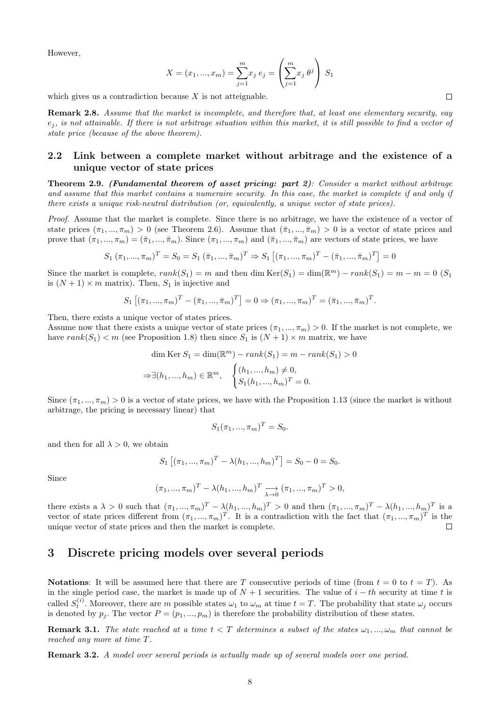However,

$$
X = (x_1, ..., x_m) = \sum_{j=1}^{m} x_j e_j = \left(\sum_{j=1}^{m} x_j \theta^j\right) S_1
$$

which gives us a contradiction because  $X$  is not atteignable.

Remark 2.8. Assume that the market is incomplete, and therefore that, at least one elementary security, eay  $e_j$ , is not attainable. If there is not arbitrage situation within this market, it is still possible to find a vector of state price (because of the above theorem).

## 2.2 Link between a complete market without arbitrage and the existence of a unique vector of state prices

Theorem 2.9. (Fundamental theorem of asset pricing: part 2): Consider a market without arbitrage and assume that this market contains a numeraire security. In this case, the market is complete if and only if there exists a unique risk-neutral distribution (or, equivalently, a unique vector of state prices).

Proof. Assume that the market is complete. Since there is no arbitrage, we have the existence of a vector of state prices  $(\pi_1, ..., \pi_m) > 0$  (see Theorem 2.6). Assume that  $(\bar{\pi}_1, ..., \bar{\pi}_m) > 0$  is a vector of state prices and prove that  $(\pi_1, ..., \pi_m) = (\bar{\pi}_1, ..., \bar{\pi}_m)$ . Since  $(\pi_1, ..., \pi_m)$  and  $(\bar{\pi}_1, ..., \bar{\pi}_m)$  are vectors of state prices, we have

$$
S_1(\pi_1, ..., \pi_m)^T = S_0 = S_1(\bar{\pi}_1, ..., \bar{\pi}_m)^T \Rightarrow S_1[(\pi_1, ..., \pi_m)^T - (\bar{\pi}_1, ..., \bar{\pi}_m)^T] = 0
$$

Since the market is complete,  $rank(S_1) = m$  and then dim  $Ker(S_1) = dim(\mathbb{R}^m) - rank(S_1) = m - m = 0$  (S<sub>1</sub>) is  $(N + 1) \times m$  matrix). Then,  $S_1$  is injective and

$$
S_1[(\pi_1, ..., \pi_m)^T - (\bar{\pi}_1, ..., \bar{\pi}_m)^T] = 0 \Rightarrow (\pi_1, ..., \pi_m)^T = (\bar{\pi}_1, ..., \bar{\pi}_m)^T.
$$

Then, there exists a unique vector of states prices.

Assume now that there exists a unique vector of state prices  $(\pi_1, ..., \pi_m) > 0$ . If the market is not complete, we have  $rank(S_1) < m$  (see Proposition 1.8) then since  $S_1$  is  $(N + 1) \times m$  matrix, we have

$$
\dim \text{Ker } S_1 = \dim(\mathbb{R}^m) - rank(S_1) = m - rank(S_1) > 0
$$
  

$$
\Rightarrow \exists (h_1, ..., h_m) \in \mathbb{R}^m, \quad \begin{cases} (h_1, ..., h_m) \neq 0, \\ S_1(h_1, ..., h_m)^T = 0. \end{cases}
$$

Since  $(\pi_1, ..., \pi_m) > 0$  is a vector of state prices, we have with the Proposition 1.13 (since the market is without arbitrage, the pricing is necessary linear) that

$$
S_1(\pi_1, ..., \pi_m)^T = S_0.
$$

and then for all  $\lambda > 0$ , we obtain

$$
S_1[(\pi_1, ..., \pi_m)^T - \lambda(h_1, ..., h_m)^T] = S_0 - 0 = S_0.
$$

Since

$$
(\pi_1, ..., \pi_m)^T
$$
 –  $\lambda(h_1, ..., h_m)^T$   $\longrightarrow$   $(\pi_1, ..., \pi_m)^T$  > 0,

there exists a  $\lambda > 0$  such that  $(\pi_1, ..., \pi_m)^T - \lambda(h_1, ..., h_m)^T > 0$  and then  $(\pi_1, ..., \pi_m)^T - \lambda(h_1, ..., h_m)^T$  is a vector of state prices different from  $(\pi_1, ..., \pi_m)^T$ . It is a contradiction with the fact that  $(\pi_1, ..., \pi_m)^T$  is the unique vector of state prices and then the market is complete.  $\Box$ 

# 3 Discrete pricing models over several periods

Notations: It will be assumed here that there are T consecutive periods of time (from  $t = 0$  to  $t = T$ ). As in the single period case, the market is made up of  $N + 1$  securities. The value of  $i - th$  security at time t is called  $S_t^{(i)}$ . Moreover, there are m possible states  $\omega_1$  to  $\omega_m$  at time  $t = T$ . The probability that state  $\omega_j$  occurs is denoted by  $p_i$ . The vector  $P = (p_1, ..., p_m)$  is therefore the probability distribution of these states.

**Remark 3.1.** The state reached at a time  $t < T$  determines a subset of the states  $\omega_1, ..., \omega_m$  that cannot be reached any more at time T.

Remark 3.2. A model over several periods is actually made up of several models over one period.

 $\Box$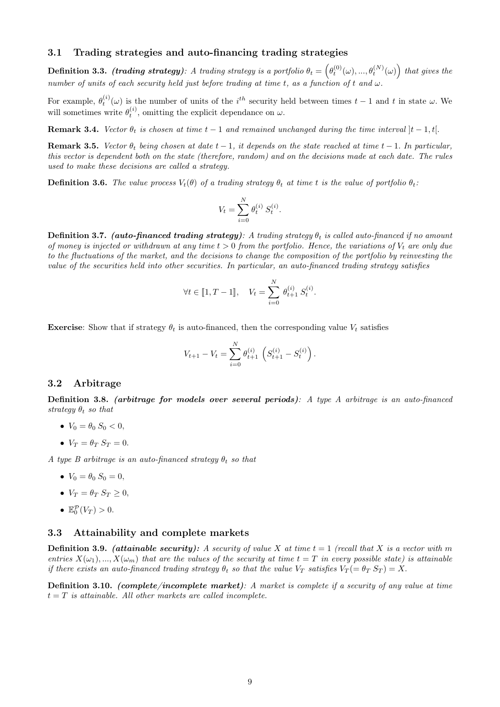## 3.1 Trading strategies and auto-financing trading strategies

**Definition 3.3.** (trading strategy): A trading strategy is a portfolio  $\theta_t = \left(\theta_t^{(0)}(\omega), ..., \theta_t^{(N)}(\omega)\right)$  that gives the number of units of each security held just before trading at time t, as a function of t and  $\omega$ .

For example,  $\theta_t^{(i)}(\omega)$  is the number of units of the i<sup>th</sup> security held between times  $t-1$  and t in state  $\omega$ . We will sometimes write  $\theta_t^{(i)}$ , omitting the explicit dependance on  $\omega$ .

**Remark 3.4.** Vector  $\theta_t$  is chosen at time  $t-1$  and remained unchanged during the time interval  $|t-1,t|$ .

**Remark 3.5.** Vector  $\theta_t$  being chosen at date  $t-1$ , it depends on the state reached at time  $t-1$ . In particular, this vector is dependent both on the state (therefore, random) and on the decisions made at each date. The rules used to make these decisions are called a strategy.

**Definition 3.6.** The value process  $V_t(\theta)$  of a trading strategy  $\theta_t$  at time t is the value of portfolio  $\theta_t$ :

$$
V_t = \sum_{i=0}^{N} \theta_t^{(i)} S_t^{(i)}.
$$

**Definition 3.7.** (auto-financed trading strategy): A trading strategy  $\theta_t$  is called auto-financed if no amount of money is injected or withdrawn at any time  $t > 0$  from the portfolio. Hence, the variations of  $V_t$  are only due to the fluctuations of the market, and the decisions to change the composition of the portfolio by reinvesting the value of the securities held into other securities. In particular, an auto-financed trading strategy satisfies

$$
\forall t \in [1, T - 1], \quad V_t = \sum_{i=0}^{N} \theta_{t+1}^{(i)} S_t^{(i)}.
$$

**Exercise:** Show that if strategy  $\theta_t$  is auto-financed, then the corresponding value  $V_t$  satisfies

$$
V_{t+1} - V_t = \sum_{i=0}^{N} \theta_{t+1}^{(i)} \left( S_{t+1}^{(i)} - S_t^{(i)} \right).
$$

#### 3.2 Arbitrage

Definition 3.8. (arbitrage for models over several periods): A type A arbitrage is an auto-financed strategy  $\theta_t$  so that

- $V_0 = \theta_0 S_0 < 0$ ,
- $V_T = \theta_T S_T = 0.$

A type B arbitrage is an auto-financed strategy  $\theta_t$  so that

- $V_0 = \theta_0 S_0 = 0,$
- $V_T = \theta_T S_T > 0$ ,
- $\mathbb{E}_{0}^{\mathcal{P}}(V_T) > 0.$

#### 3.3 Attainability and complete markets

**Definition 3.9.** (attainable security): A security of value X at time  $t = 1$  (recall that X is a vector with m entries  $X(\omega_1),...,X(\omega_m)$  that are the values of the security at time  $t=T$  in every possible state) is attainable if there exists an auto-financed trading strategy  $\theta_t$  so that the value  $V_T$  satisfies  $V_T (= \theta_T S_T) = X$ .

Definition 3.10. (complete/incomplete market): A market is complete if a security of any value at time  $t = T$  is attainable. All other markets are called incomplete.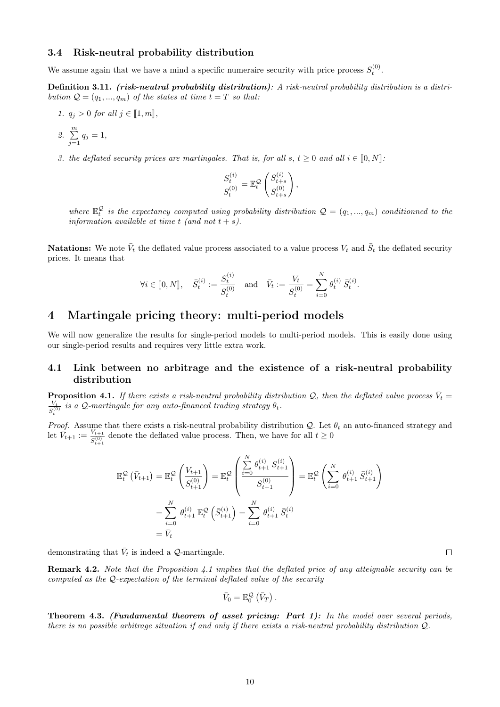## 3.4 Risk-neutral probability distribution

We assume again that we have a mind a specific numeraire security with price process  $S_t^{(0)}$ .

Definition 3.11. (risk-neutral probability distribution): A risk-neutral probability distribution is a distribution  $\mathcal{Q} = (q_1, ..., q_m)$  of the states at time  $t = T$  so that:

1.  $q_j > 0$  for all  $j \in [1, m],$ 

2. 
$$
\sum_{j=1}^{m} q_j = 1,
$$

3. the deflated security prices are martingales. That is, for all s,  $t > 0$  and all  $i \in [0, N]$ :

$$
\frac{S_t^{(i)}}{S_t^{(0)}} = \mathbb{E}_t^{\mathcal{Q}} \left( \frac{S_{t+s}^{(i)}}{S_{t+s}^{(0)}} \right),
$$

where  $\mathbb{E}^{\mathcal{Q}}_t$  is the expectancy computed using probability distribution  $\mathcal{Q} = (q_1, ..., q_m)$  conditionned to the information available at time t (and not  $t + s$ ).

Natations: We note  $\bar{V}_t$  the deflated value process associated to a value process  $V_t$  and  $\bar{S}_t$  the deflated security prices. It means that

$$
\forall i \in [0, N], \quad \bar{S}_t^{(i)} := \frac{S_t^{(i)}}{S_t^{(0)}} \quad \text{and} \quad \bar{V}_t := \frac{V_t}{S_t^{(0)}} = \sum_{i=0}^N \theta_t^{(i)} \,\bar{S}_t^{(i)}.
$$

# 4 Martingale pricing theory: multi-period models

We will now generalize the results for single-period models to multi-period models. This is easily done using our single-period results and requires very little extra work.

### 4.1 Link between no arbitrage and the existence of a risk-neutral probability distribution

**Proposition 4.1.** If there exists a risk-neutral probability distribution Q, then the deflated value process  $\bar{V}_t$  =  $V_t$  $\frac{V_t}{S_t^{(0)}}$  is a Q-martingale for any auto-financed trading strategy  $\theta_t$ .

*Proof.* Assume that there exists a risk-neutral probability distribution  $Q$ . Let  $\theta_t$  an auto-financed strategy and let  $\bar{V}_{t+1} := \frac{V_{t+1}}{c^{(0)}}$  $\frac{V_{t+1}}{S_{t+1}^{(0)}}$  denote the deflated value process. Then, we have for all  $t \geq 0$ 

$$
\mathbb{E}_{t}^{\mathcal{Q}}\left(\bar{V}_{t+1}\right) = \mathbb{E}_{t}^{\mathcal{Q}}\left(\frac{V_{t+1}}{S_{t+1}^{(0)}}\right) = \mathbb{E}_{t}^{\mathcal{Q}}\left(\frac{\sum_{i=0}^{N} \theta_{t+1}^{(i)} S_{t+1}^{(i)}}{S_{t+1}^{(0)}}\right) = \mathbb{E}_{t}^{\mathcal{Q}}\left(\sum_{i=0}^{N} \theta_{t+1}^{(i)} \bar{S}_{t+1}^{(i)}\right)
$$

$$
= \sum_{i=0}^{N} \theta_{t+1}^{(i)} \mathbb{E}_{t}^{\mathcal{Q}}\left(\bar{S}_{t+1}^{(i)}\right) = \sum_{i=0}^{N} \theta_{t+1}^{(i)} \bar{S}_{t}^{(i)}
$$

$$
= \bar{V}_{t}
$$

demonstrating that  $\bar{V}_t$  is indeed a Q-martingale.

Remark 4.2. Note that the Proposition 4.1 implies that the deflated price of any atteignable security can be computed as the Q-expectation of the terminal deflated value of the security

$$
\bar{V}_0 = \mathbb{E}^{\mathcal{Q}}_0(\bar{V}_T).
$$

Theorem 4.3. (Fundamental theorem of asset pricing: Part 1): In the model over several periods, there is no possible arbitrage situation if and only if there exists a risk-neutral probability distribution Q.

 $\Box$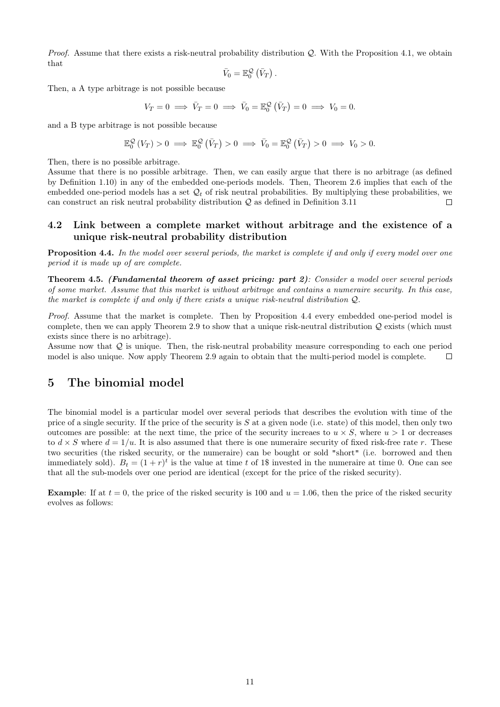*Proof.* Assume that there exists a risk-neutral probability distribution  $Q$ . With the Proposition 4.1, we obtain that

$$
\bar{V}_0 = \mathbb{E}^{\mathcal{Q}}_0(\bar{V}_T).
$$

Then, a A type arbitrage is not possible because

$$
V_T = 0 \implies \bar{V}_T = 0 \implies \bar{V}_0 = \mathbb{E}_0^{\mathcal{Q}}(\bar{V}_T) = 0 \implies V_0 = 0.
$$

and a B type arbitrage is not possible because

$$
\mathbb{E}^{\mathcal{Q}}_0(V_T) > 0 \implies \mathbb{E}^{\mathcal{Q}}_0(\bar{V}_T) > 0 \implies \bar{V}_0 = \mathbb{E}^{\mathcal{Q}}_0(\bar{V}_T) > 0 \implies V_0 > 0.
$$

Then, there is no possible arbitrage.

Assume that there is no possible arbitrage. Then, we can easily argue that there is no arbitrage (as defined by Definition 1.10) in any of the embedded one-periods models. Then, Theorem 2.6 implies that each of the embedded one-period models has a set  $\mathcal{Q}_t$  of risk neutral probabilities. By multiplying these probabilities, we can construct an risk neutral probability distribution Q as defined in Definition 3.11 П

## 4.2 Link between a complete market without arbitrage and the existence of a unique risk-neutral probability distribution

Proposition 4.4. In the model over several periods, the market is complete if and only if every model over one period it is made up of are complete.

Theorem 4.5. (Fundamental theorem of asset pricing: part 2): Consider a model over several periods of some market. Assume that this market is without arbitrage and contains a numeraire security. In this case, the market is complete if and only if there exists a unique risk-neutral distribution Q.

Proof. Assume that the market is complete. Then by Proposition 4.4 every embedded one-period model is complete, then we can apply Theorem 2.9 to show that a unique risk-neutral distribution  $Q$  exists (which must exists since there is no arbitrage).

Assume now that Q is unique. Then, the risk-neutral probability measure corresponding to each one period model is also unique. Now apply Theorem 2.9 again to obtain that the multi-period model is complete.  $\Box$ 

# 5 The binomial model

The binomial model is a particular model over several periods that describes the evolution with time of the price of a single security. If the price of the security is  $S$  at a given node (i.e. state) of this model, then only two outcomes are possible: at the next time, the price of the security increases to  $u \times S$ , where  $u > 1$  or decreases to  $d \times S$  where  $d = 1/u$ . It is also assumed that there is one numeraire security of fixed risk-free rate r. These two securities (the risked security, or the numeraire) can be bought or sold "short" (i.e. borrowed and then immediately sold).  $B_t = (1+r)^t$  is the value at time t of 1\$ invested in the numeraire at time 0. One can see that all the sub-models over one period are identical (except for the price of the risked security).

**Example:** If at  $t = 0$ , the price of the risked security is 100 and  $u = 1.06$ , then the price of the risked security evolves as follows: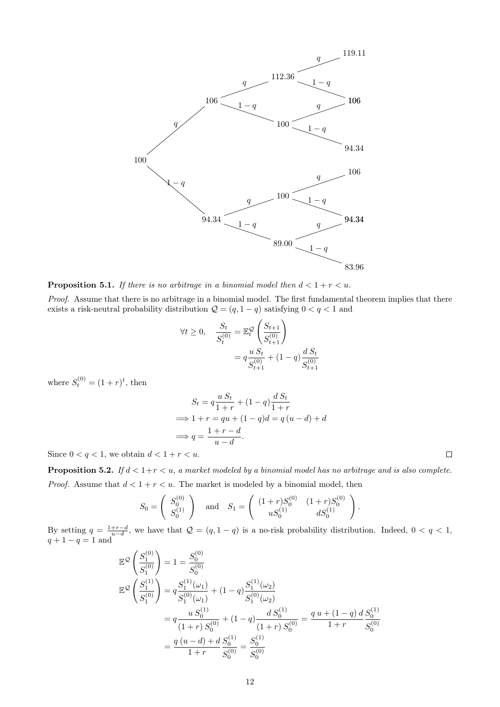

**Proposition 5.1.** If there is no arbitrage in a binomial model then  $d < 1 + r < u$ .

Proof. Assume that there is no arbitrage in a binomial model. The first fundamental theorem implies that there exists a risk-neutral probability distribution  $Q = (q, 1 - q)$  satisfying  $0 < q < 1$  and

$$
\forall t \ge 0, \quad \frac{S_t}{S_t^{(0)}} = \mathbb{E}_t^{\mathcal{Q}} \left( \frac{S_{t+1}}{S_{t+1}^{(0)}} \right)
$$

$$
= q \frac{u S_t}{S_{t+1}^{(0)}} + (1 - q) \frac{d S_t}{S_{t+1}^{(0)}}
$$

where  $S_t^{(0)} = (1+r)^t$ , then

$$
S_t = q \frac{u S_t}{1+r} + (1-q) \frac{d S_t}{1+r}
$$
  
\n
$$
\implies 1+r = qu + (1-q)d = q(u-d) + d
$$
  
\n
$$
\implies q = \frac{1+r-d}{u-d}.
$$

Since  $0 < q < 1$ , we obtain  $d < 1 + r < u$ .

**Proposition 5.2.** If  $d < 1+r < u$ , a market modeled by a binomial model has no arbitrage and is also complete. *Proof.* Assume that  $d < 1 + r < u$ . The market is modeled by a binomial model, then

$$
S_0 = \begin{pmatrix} S_0^{(0)} \\ S_0^{(1)} \end{pmatrix} \text{ and } S_1 = \begin{pmatrix} (1+r)S_0^{(0)} & (1+r)S_0^{(0)} \\ uS_0^{(1)} & dS_0^{(1)} \end{pmatrix}.
$$

By setting  $q = \frac{1+r-d}{u-d}$ , we have that  $Q = (q, 1-q)$  is a no-risk probability distribution. Indeed,  $0 < q < 1$ ,  $q + 1 - q = 1$  and

$$
\mathbb{E}^{\mathcal{Q}}\left(\frac{S_1^{(0)}}{S_1^{(0)}}\right) = 1 = \frac{S_0^{(0)}}{S_0^{(0)}}
$$
\n
$$
\mathbb{E}^{\mathcal{Q}}\left(\frac{S_1^{(1)}}{S_1^{(0)}}\right) = q \frac{S_1^{(1)}(\omega_1)}{S_1^{(0)}(\omega_1)} + (1-q) \frac{S_1^{(1)}(\omega_2)}{S_1^{(0)}(\omega_2)}
$$
\n
$$
= q \frac{u S_0^{(1)}}{(1+r) S_0^{(0)}} + (1-q) \frac{d S_0^{(1)}}{(1+r) S_0^{(0)}} = \frac{q u + (1-q) d S_0^{(1)}}{1+r} \frac{S_0^{(1)}}{S_0^{(0)}}
$$
\n
$$
= \frac{q (u-d) + d S_0^{(1)}}{1+r} \frac{S_0^{(1)}}{S_0^{(0)}} = \frac{S_0^{(1)}}{S_0^{(0)}}
$$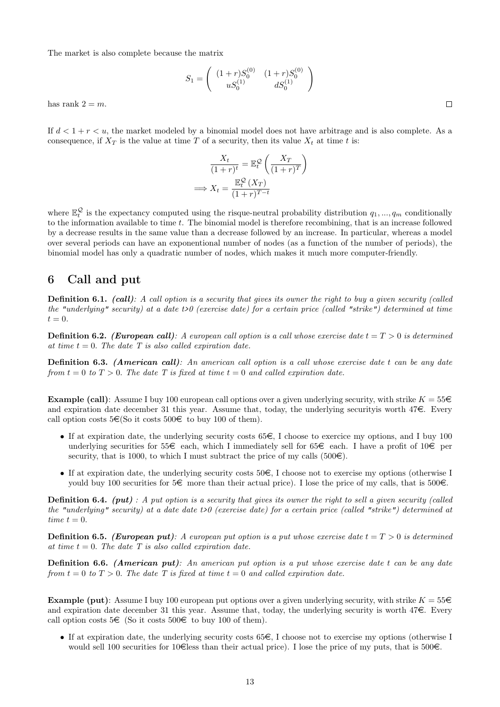The market is also complete because the matrix

$$
S_1 = \begin{pmatrix} (1+r)S_0^{(0)} & (1+r)S_0^{(0)} \\ uS_0^{(1)} & dS_0^{(1)} \end{pmatrix}
$$

has rank  $2 = m$ .

If  $d < 1 + r < u$ , the market modeled by a binomial model does not have arbitrage and is also complete. As a consequence, if  $X_T$  is the value at time T of a security, then its value  $X_t$  at time t is:

$$
\frac{X_t}{(1+r)^t} = \mathbb{E}_t^{\mathcal{Q}}\left(\frac{X_T}{(1+r)^T}\right)
$$

$$
\implies X_t = \frac{\mathbb{E}_t^{\mathcal{Q}}\left(X_T\right)}{(1+r)^{T-t}}
$$

where  $\mathbb{E}_{t}^{\mathcal{Q}}$  is the expectancy computed using the risque-neutral probability distribution  $q_1, ..., q_m$  conditionally to the information available to time  $t$ . The binomial model is therefore recombining, that is an increase followed by a decrease results in the same value than a decrease followed by an increase. In particular, whereas a model over several periods can have an exponentional number of nodes (as a function of the number of periods), the binomial model has only a quadratic number of nodes, which makes it much more computer-friendly.

# 6 Call and put

**Definition 6.1.** (call): A call option is a security that gives its owner the right to buy a given security (called the "underlying" security) at a date t>0 (exercise date) for a certain price (called "strike") determined at time  $t = 0.$ 

**Definition 6.2.** (European call): A european call option is a call whose exercise date  $t = T > 0$  is determined at time  $t = 0$ . The date T is also called expiration date.

Definition 6.3. (American call): An american call option is a call whose exercise date t can be any date from  $t = 0$  to  $T > 0$ . The date T is fixed at time  $t = 0$  and called expiration date.

**Example (call):** Assume I buy 100 european call options over a given underlying security, with strike  $K = 55\epsilon$ and expiration date december 31 this year. Assume that, today, the underlying security is worth  $47\epsilon$ . Every call option costs  $5 \in (So it costs 500 \in to buy 100 of them).$ 

- If at expiration date, the underlying security costs  $65\epsilon$ , I choose to exercice my options, and I buy 100 underlying securities for  $55\epsilon$  each, which I immediately sell for  $65\epsilon$  each. I have a profit of  $10\epsilon$  per security, that is 1000, to which I must subtract the price of my calls  $(500\epsilon)$ .
- If at expiration date, the underlying security costs  $50\epsilon$ , I choose not to exercise my options (otherwise I yould buy 100 securities for  $5\epsilon$  more than their actual price). I lose the price of my calls, that is  $500\epsilon$ .

**Definition 6.4.** (put) : A put option is a security that gives its owner the right to sell a given security (called the "underlying" security) at a date date t>0 (exercise date) for a certain price (called "strike") determined at time  $t = 0$ .

**Definition 6.5.** (European put): A european put option is a put whose exercise date  $t = T > 0$  is determined at time  $t = 0$ . The date T is also called expiration date.

Definition 6.6. (American put): An american put option is a put whose exercise date t can be any date from  $t = 0$  to  $T > 0$ . The date T is fixed at time  $t = 0$  and called expiration date.

**Example (put):** Assume I buy 100 european put options over a given underlying security, with strike  $K = 55 \in$ and expiration date december 31 this year. Assume that, today, the underlying security is worth  $47\epsilon$ . Every call option costs  $5 \in$  (So it costs  $500 \in$  to buy 100 of them).

• If at expiration date, the underlying security costs  $65\epsilon$ , I choose not to exercise my options (otherwise I would sell 100 securities for 10  $\in$  less than their actual price). I lose the price of my puts, that is 500 $\in$ .